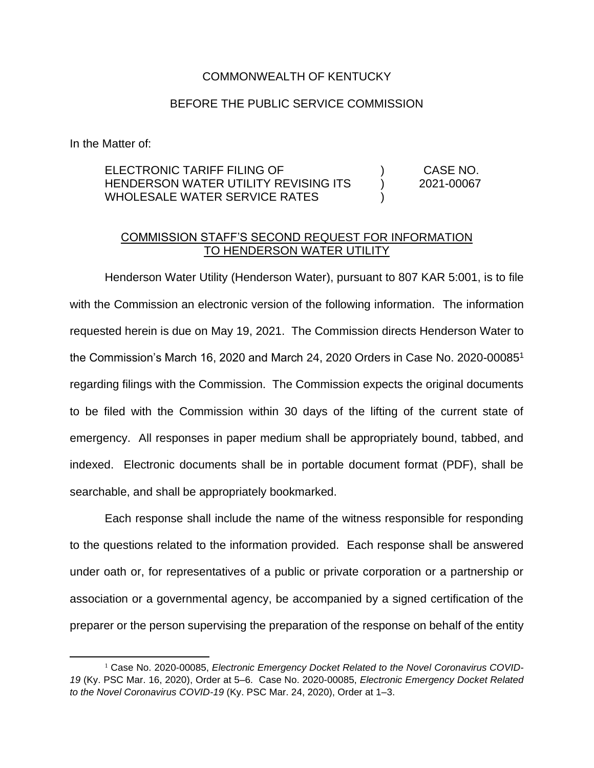## COMMONWEALTH OF KENTUCKY

## BEFORE THE PUBLIC SERVICE COMMISSION

In the Matter of:

ELECTRONIC TARIFF FILING OF HENDERSON WATER UTILITY REVISING ITS WHOLESALE WATER SERVICE RATES )  $\lambda$ ) CASE NO. 2021-00067

## COMMISSION STAFF'S SECOND REQUEST FOR INFORMATION TO HENDERSON WATER UTILITY

Henderson Water Utility (Henderson Water), pursuant to 807 KAR 5:001, is to file with the Commission an electronic version of the following information. The information requested herein is due on May 19, 2021. The Commission directs Henderson Water to the Commission's March 16, 2020 and March 24, 2020 Orders in Case No. 2020-00085<sup>1</sup> regarding filings with the Commission. The Commission expects the original documents to be filed with the Commission within 30 days of the lifting of the current state of emergency. All responses in paper medium shall be appropriately bound, tabbed, and indexed. Electronic documents shall be in portable document format (PDF), shall be searchable, and shall be appropriately bookmarked.

Each response shall include the name of the witness responsible for responding to the questions related to the information provided. Each response shall be answered under oath or, for representatives of a public or private corporation or a partnership or association or a governmental agency, be accompanied by a signed certification of the preparer or the person supervising the preparation of the response on behalf of the entity

<sup>&</sup>lt;sup>1</sup> Case No. 2020-00085, *Electronic Emergency Docket Related to the Novel Coronavirus COVID-19* (Ky. PSC Mar. 16, 2020), Order at 5–6. Case No. 2020-00085, *Electronic Emergency Docket Related to the Novel Coronavirus COVID-19* (Ky. PSC Mar. 24, 2020), Order at 1–3.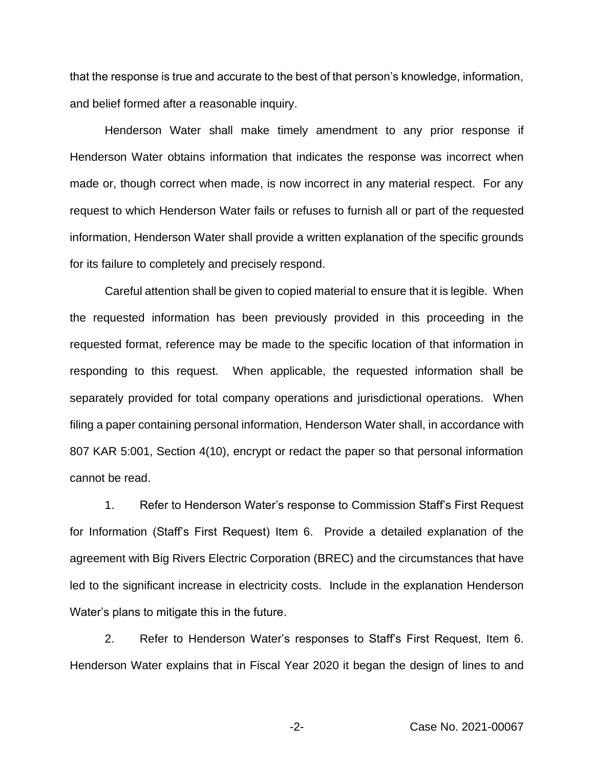that the response is true and accurate to the best of that person's knowledge, information, and belief formed after a reasonable inquiry.

Henderson Water shall make timely amendment to any prior response if Henderson Water obtains information that indicates the response was incorrect when made or, though correct when made, is now incorrect in any material respect. For any request to which Henderson Water fails or refuses to furnish all or part of the requested information, Henderson Water shall provide a written explanation of the specific grounds for its failure to completely and precisely respond.

Careful attention shall be given to copied material to ensure that it is legible. When the requested information has been previously provided in this proceeding in the requested format, reference may be made to the specific location of that information in responding to this request. When applicable, the requested information shall be separately provided for total company operations and jurisdictional operations. When filing a paper containing personal information, Henderson Water shall, in accordance with 807 KAR 5:001, Section 4(10), encrypt or redact the paper so that personal information cannot be read.

1. Refer to Henderson Water's response to Commission Staff's First Request for Information (Staff's First Request) Item 6. Provide a detailed explanation of the agreement with Big Rivers Electric Corporation (BREC) and the circumstances that have led to the significant increase in electricity costs. Include in the explanation Henderson Water's plans to mitigate this in the future.

2. Refer to Henderson Water's responses to Staff's First Request, Item 6. Henderson Water explains that in Fiscal Year 2020 it began the design of lines to and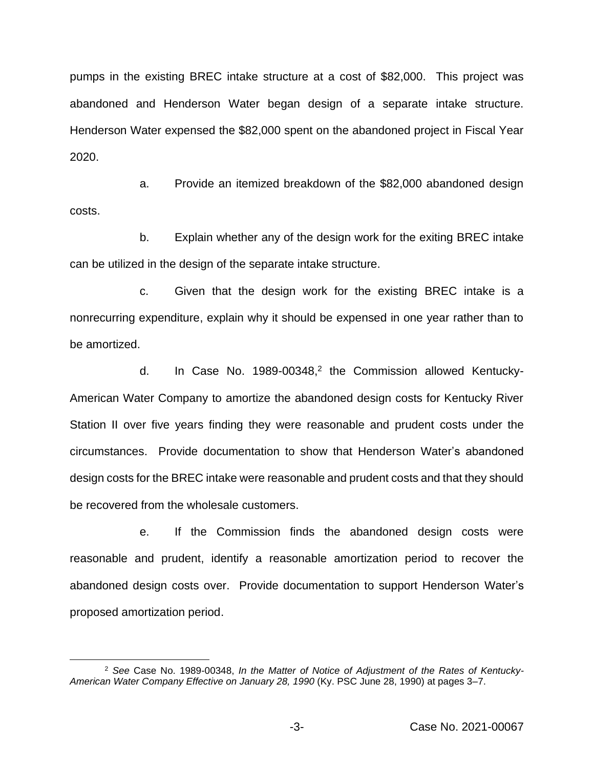pumps in the existing BREC intake structure at a cost of \$82,000. This project was abandoned and Henderson Water began design of a separate intake structure. Henderson Water expensed the \$82,000 spent on the abandoned project in Fiscal Year 2020.

a. Provide an itemized breakdown of the \$82,000 abandoned design costs.

b. Explain whether any of the design work for the exiting BREC intake can be utilized in the design of the separate intake structure.

c. Given that the design work for the existing BREC intake is a nonrecurring expenditure, explain why it should be expensed in one year rather than to be amortized.

d. In Case No.  $1989-00348$ <sup>2</sup> the Commission allowed Kentucky-American Water Company to amortize the abandoned design costs for Kentucky River Station II over five years finding they were reasonable and prudent costs under the circumstances. Provide documentation to show that Henderson Water's abandoned design costs for the BREC intake were reasonable and prudent costs and that they should be recovered from the wholesale customers.

e. If the Commission finds the abandoned design costs were reasonable and prudent, identify a reasonable amortization period to recover the abandoned design costs over. Provide documentation to support Henderson Water's proposed amortization period.

<sup>2</sup> *See* Case No. 1989-00348, *In the Matter of Notice of Adjustment of the Rates of Kentucky-American Water Company Effective on January 28, 1990* (Ky. PSC June 28, 1990) at pages 3–7.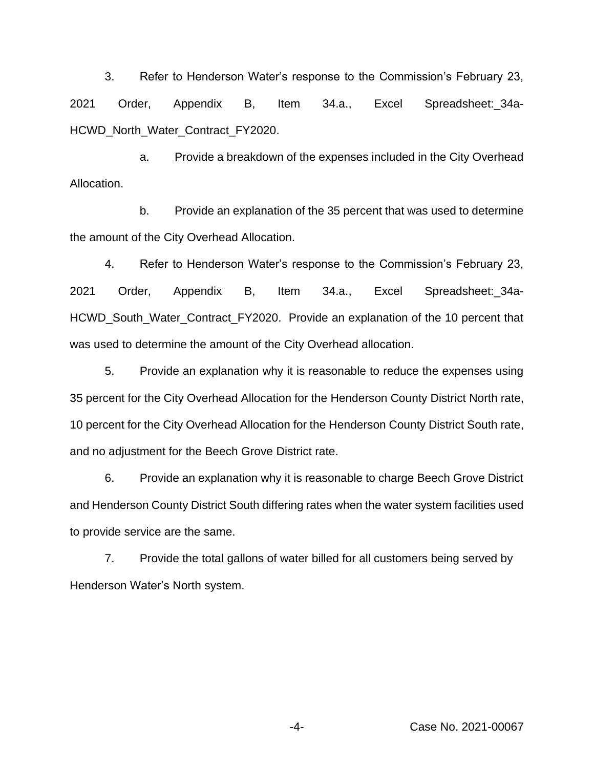3. Refer to Henderson Water's response to the Commission's February 23, 2021 Order, Appendix B, Item 34.a., Excel Spreadsheet: 34a-HCWD\_North\_Water\_Contract\_FY2020.

a. Provide a breakdown of the expenses included in the City Overhead Allocation.

b. Provide an explanation of the 35 percent that was used to determine the amount of the City Overhead Allocation.

4. Refer to Henderson Water's response to the Commission's February 23, 2021 Order, Appendix B, Item 34.a., Excel Spreadsheet:\_34a-HCWD\_South\_Water\_Contract\_FY2020. Provide an explanation of the 10 percent that was used to determine the amount of the City Overhead allocation.

5. Provide an explanation why it is reasonable to reduce the expenses using 35 percent for the City Overhead Allocation for the Henderson County District North rate, 10 percent for the City Overhead Allocation for the Henderson County District South rate, and no adjustment for the Beech Grove District rate.

6. Provide an explanation why it is reasonable to charge Beech Grove District and Henderson County District South differing rates when the water system facilities used to provide service are the same.

7. Provide the total gallons of water billed for all customers being served by Henderson Water's North system.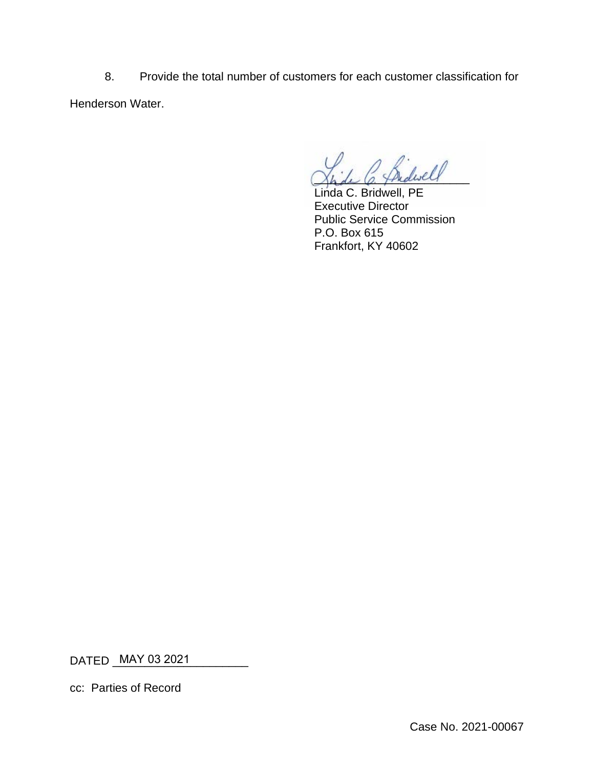8. Provide the total number of customers for each customer classification for Henderson Water.

Shake C. Thidiver

Linda C. Bridwell, PE Executive Director Public Service Commission P.O. Box 615 Frankfort, KY 40602

DATED \_<u>MAY 03 2021 \_\_\_\_\_\_\_\_\_</u>\_\_\_

cc: Parties of Record